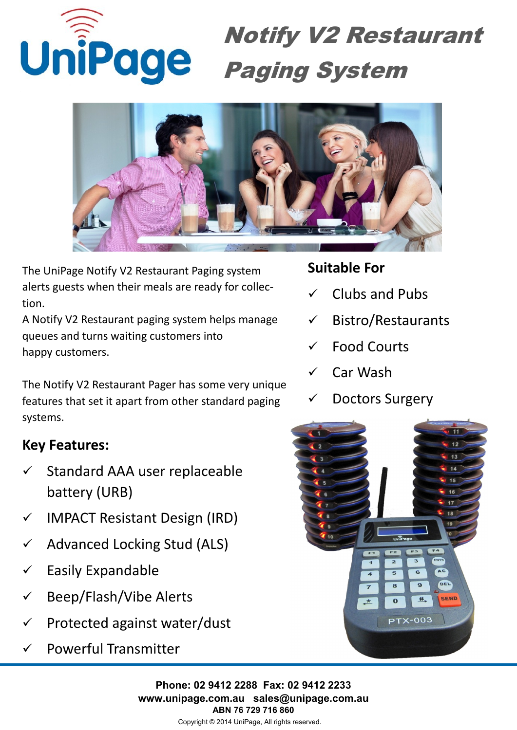



The UniPage Notify V2 Restaurant Paging system alerts guests when their meals are ready for collection.

A Notify V2 Restaurant paging system helps manage queues and turns waiting customers into happy customers.

The Notify V2 Restaurant Pager has some very unique features that set it apart from other standard paging systems.

## **Key Features:**

- Standard AAA user replaceable battery (URB)
- $\checkmark$  IMPACT Resistant Design (IRD)
- $\checkmark$  Advanced Locking Stud (ALS)
- $\checkmark$  Easily Expandable
- Beep/Flash/Vibe Alerts
- $\checkmark$  Protected against water/dust
- $\checkmark$  Powerful Transmitter

## **Suitable For**

- Clubs and Pubs
- $\checkmark$  Bistro/Restaurants
- $\checkmark$  Food Courts
- Car Wash
- Doctors Surgery



**Phone: 02 9412 2288 Fax: 02 9412 2233 www.unipage.com.au sales@unipage.com.au ABN 76 729 716 860**

Copyright © 2014 UniPage, All rights reserved.